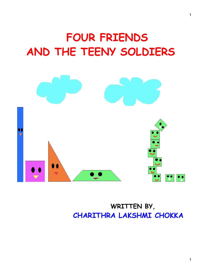## **FOUR FRIENDS AND THE TEENY SOLDIERS**



## **WRITTEN BY, CHARITHRA LAKSHMI CHOKKA**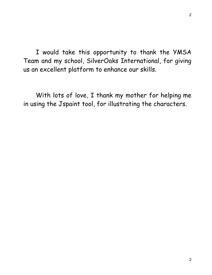I would take this opportunity to thank the YMSA Team and my school, SilverOaks International, for giving us an excellent platform to enhance our skills.

With lots of love, I thank my mother for helping me in using the Jspaint tool, for illustrating the characters.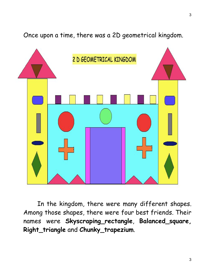Once upon a time, there was a 2D geometrical kingdom.



In the kingdom, there were many different shapes. Among those shapes, there were four best friends. Their names were **Skyscraping\_rectangle**, **Balanced\_square, Right\_triangle** and **Chunky\_trapezium**.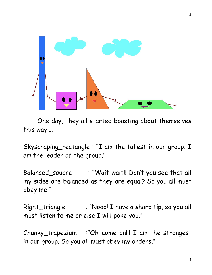

One day, they all started boasting about themselves this way….

Skyscraping\_rectangle : "I am the tallest in our group. I am the leader of the group."

Balanced\_square : "Wait wait!! Don't you see that all my sides are balanced as they are equal? So you all must obey me.''

Right\_triangle : "Nooo! I have a sharp tip, so you all must listen to me or else I will poke you."

Chunky\_trapezium :"Oh come on!!! I am the strongest in our group. So you all must obey my orders."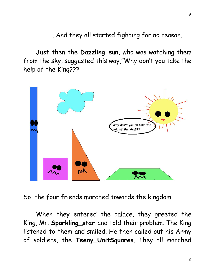…. And they all started fighting for no reason.

Just then the **Dazzling\_sun**, who was watching them from the sky, suggested this way,"Why don't you take the help of the King???"



So, the four friends marched towards the kingdom.

When they entered the palace, they greeted the King, Mr. **Sparkling\_star** and told their problem. The King listened to them and smiled. He then called out his Army of soldiers, the **Teeny\_UnitSquares**. They all marched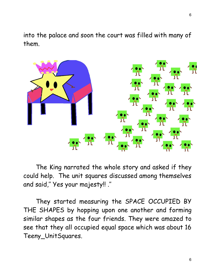into the palace and soon the court was filled with many of them.



The King narrated the whole story and asked if they could help. The unit squares discussed among themselves and said,'' Yes your majesty!! .''

They started measuring the SPACE OCCUPIED BY THE SHAPES by hopping upon one another and forming similar shapes as the four friends. They were amazed to see that they all occupied equal space which was about 16 Teeny\_UnitSquares.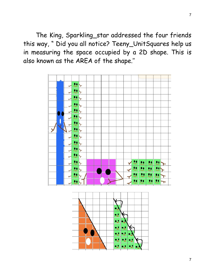The King, Sparkling\_star addressed the four friends this way, " Did you all notice? Teeny\_UnitSquares help us in measuring the space occupied by a 2D shape. This is also known as the AREA of the shape.''



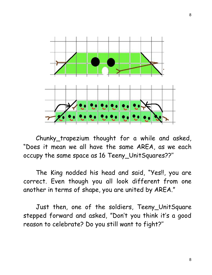

Chunky\_trapezium thought for a while and asked, "Does it mean we all have the same AREA, as we each occupy the same space as 16 Teeny\_UnitSquares??''

The King nodded his head and said, "Yes!!, you are correct. Even though you all look different from one another in terms of shape, you are united by AREA."

Just then, one of the soldiers, Teeny\_UnitSquare stepped forward and asked, "Don't you think it's a good reason to celebrate? Do you still want to fight?''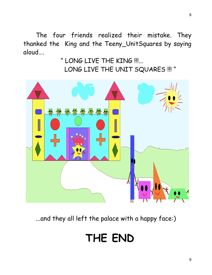The four friends realized their mistake. They thanked the King and the Teeny\_UnitSquares by saying aloud….

> " LONG LIVE THE KING !!!... LONG LIVE THE UNIT SQUARES !!! "



...and they all left the palace with a happy face:)

## **THE END**